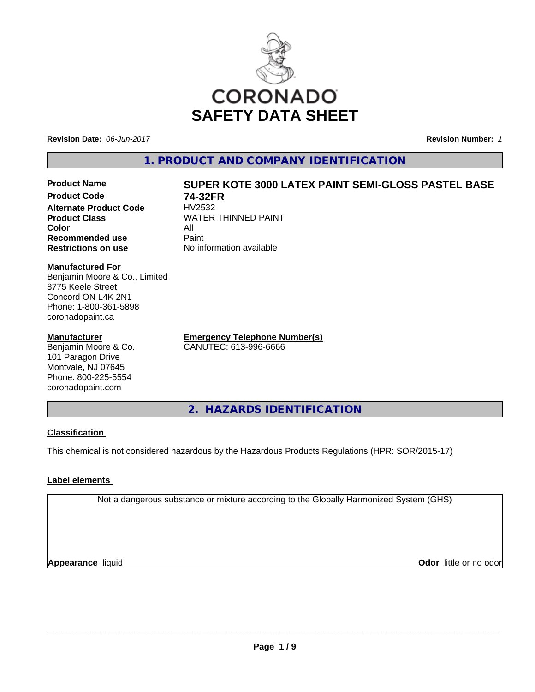

**Revision Date:** *06-Jun-2017* **Revision Number:** *1*

**Alternate Product Code**<br>Product Class

**Recommended use** 

**1. PRODUCT AND COMPANY IDENTIFICATION**

# **Product Name SUPER KOTE 3000 LATEX PAINT SEMI-GLOSS PASTEL BASE**

**Product Code 74-32FR WATER THINNED PAINT Color** All All<br>**Recommended use** Paint **Restrictions on use** No information available

**Manufactured For** Benjamin Moore & Co., Limited 8775 Keele Street Concord ON L4K 2N1 Phone: 1-800-361-5898

## **Manufacturer**

coronadopaint.ca

Benjamin Moore & Co. 101 Paragon Drive Montvale, NJ 07645 Phone: 800-225-5554 coronadopaint.com

**Emergency Telephone Number(s)** CANUTEC: 613-996-6666

**2. HAZARDS IDENTIFICATION**

# **Classification**

This chemical is not considered hazardous by the Hazardous Products Regulations (HPR: SOR/2015-17)

# **Label elements**

Not a dangerous substance or mixture according to the Globally Harmonized System (GHS)

**Appearance** liquid

**Odor** little or no odor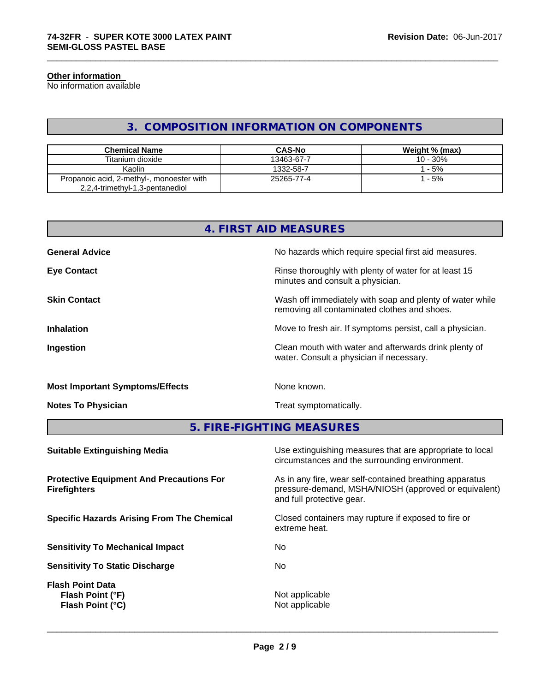#### **Other information**

No information available

# **3. COMPOSITION INFORMATION ON COMPONENTS**

\_\_\_\_\_\_\_\_\_\_\_\_\_\_\_\_\_\_\_\_\_\_\_\_\_\_\_\_\_\_\_\_\_\_\_\_\_\_\_\_\_\_\_\_\_\_\_\_\_\_\_\_\_\_\_\_\_\_\_\_\_\_\_\_\_\_\_\_\_\_\_\_\_\_\_\_\_\_\_\_\_\_\_\_\_\_\_\_\_\_\_\_\_

| <b>Chemical Name</b>                                                         | <b>CAS-No</b> | Weight % (max) |
|------------------------------------------------------------------------------|---------------|----------------|
| Titanium dioxide                                                             | 13463-67-7    | $10 - 30%$     |
| Kaolin                                                                       | 1332-58-7     | $-5%$          |
| Propanoic acid, 2-methyl-, monoester with<br>2,2,4-trimethyl-1,3-pentanediol | 25265-77-4    | $-5%$          |

| 4. FIRST AID MEASURES                  |                                                                                                          |  |  |  |
|----------------------------------------|----------------------------------------------------------------------------------------------------------|--|--|--|
| <b>General Advice</b>                  | No hazards which require special first aid measures.                                                     |  |  |  |
| <b>Eye Contact</b>                     | Rinse thoroughly with plenty of water for at least 15<br>minutes and consult a physician.                |  |  |  |
| <b>Skin Contact</b>                    | Wash off immediately with soap and plenty of water while<br>removing all contaminated clothes and shoes. |  |  |  |
| <b>Inhalation</b>                      | Move to fresh air. If symptoms persist, call a physician.                                                |  |  |  |
| Ingestion                              | Clean mouth with water and afterwards drink plenty of<br>water. Consult a physician if necessary.        |  |  |  |
| <b>Most Important Symptoms/Effects</b> | None known.                                                                                              |  |  |  |
| <b>Notes To Physician</b>              | Treat symptomatically.                                                                                   |  |  |  |

**5. FIRE-FIGHTING MEASURES**

| Use extinguishing measures that are appropriate to local<br>circumstances and the surrounding environment.                                   |
|----------------------------------------------------------------------------------------------------------------------------------------------|
| As in any fire, wear self-contained breathing apparatus<br>pressure-demand, MSHA/NIOSH (approved or equivalent)<br>and full protective gear. |
| Closed containers may rupture if exposed to fire or<br>extreme heat.                                                                         |
| No.                                                                                                                                          |
| No.                                                                                                                                          |
| Not applicable<br>Not applicable                                                                                                             |
|                                                                                                                                              |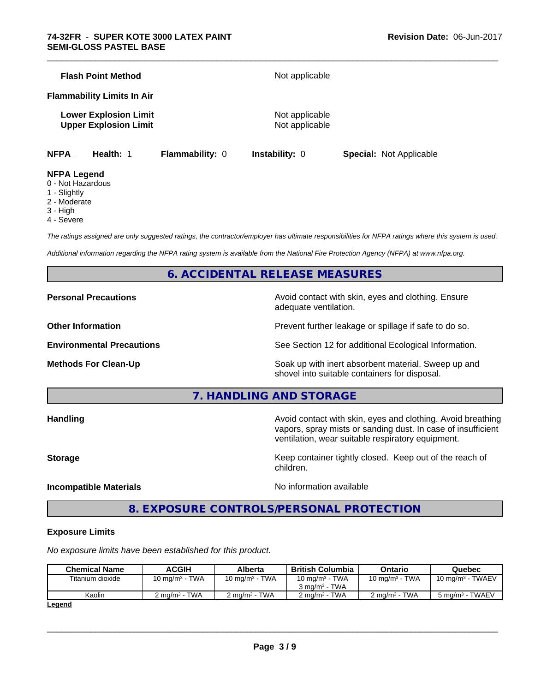|             | <b>Flash Point Method</b>                                    |                        | Not applicable                   |                                |
|-------------|--------------------------------------------------------------|------------------------|----------------------------------|--------------------------------|
|             | <b>Flammability Limits In Air</b>                            |                        |                                  |                                |
|             | <b>Lower Explosion Limit</b><br><b>Upper Explosion Limit</b> |                        | Not applicable<br>Not applicable |                                |
| <b>NFPA</b> | Health: 1                                                    | <b>Flammability: 0</b> | <b>Instability: 0</b>            | <b>Special: Not Applicable</b> |

\_\_\_\_\_\_\_\_\_\_\_\_\_\_\_\_\_\_\_\_\_\_\_\_\_\_\_\_\_\_\_\_\_\_\_\_\_\_\_\_\_\_\_\_\_\_\_\_\_\_\_\_\_\_\_\_\_\_\_\_\_\_\_\_\_\_\_\_\_\_\_\_\_\_\_\_\_\_\_\_\_\_\_\_\_\_\_\_\_\_\_\_\_

#### **NFPA Legend**

- 0 Not Hazardous
- 1 Slightly
- 2 Moderate
- 3 High
- 4 Severe

*The ratings assigned are only suggested ratings, the contractor/employer has ultimate responsibilities for NFPA ratings where this system is used.*

*Additional information regarding the NFPA rating system is available from the National Fire Protection Agency (NFPA) at www.nfpa.org.*

# **6. ACCIDENTAL RELEASE MEASURES**

**Personal Precautions Avoid contact with skin, eyes and clothing. Ensure** Avoid contact with skin, eyes and clothing. Ensure adequate ventilation.

**Other Information Discription Prevent further leakage or spillage if safe to do so.** 

**Environmental Precautions** See Section 12 for additional Ecological Information.

**Methods For Clean-Up Example 20 All 20 All 20 All 20 Soak up with inert absorbent material. Sweep up and** shovel into suitable containers for disposal.

vapors, spray mists or sanding dust. In case of insufficient

ventilation, wear suitable respiratory equipment.

**7. HANDLING AND STORAGE**

**Handling Handling Avoid contact with skin, eyes and clothing. Avoid breathing** 

**Storage Keep container tightly closed. Keep out of the reach of Keep** container tightly closed. Keep out of the reach of

**Incompatible Materials Incompatible Materials No information available** 

 $\overline{\phantom{a}}$  ,  $\overline{\phantom{a}}$  ,  $\overline{\phantom{a}}$  ,  $\overline{\phantom{a}}$  ,  $\overline{\phantom{a}}$  ,  $\overline{\phantom{a}}$  ,  $\overline{\phantom{a}}$  ,  $\overline{\phantom{a}}$  ,  $\overline{\phantom{a}}$  ,  $\overline{\phantom{a}}$  ,  $\overline{\phantom{a}}$  ,  $\overline{\phantom{a}}$  ,  $\overline{\phantom{a}}$  ,  $\overline{\phantom{a}}$  ,  $\overline{\phantom{a}}$  ,  $\overline{\phantom{a}}$ 

# **8. EXPOSURE CONTROLS/PERSONAL PROTECTION**

children.

#### **Exposure Limits**

*No exposure limits have been established for this product.*

| <b>Chemical Name</b> | ACGIH                    | <b>Alberta</b>           | <b>British Columbia</b>                       | Ontario                  | Quebec                      |
|----------------------|--------------------------|--------------------------|-----------------------------------------------|--------------------------|-----------------------------|
| Titanium dioxide     | 10 mg/m $3$ - TWA        | 10 mg/m $3$ - TWA        | 10 mg/m $3$ - TWA<br>$3 \text{ ma/m}^3$ - TWA | 10 mg/m $3$ - TWA        | $10 \text{ mg/m}^3$ - TWAEV |
| Kaolin               | $2 \text{ ma/m}^3$ - TWA | $2 \text{ ma/m}^3$ - TWA | $2 \text{ ma/m}^3$ - TWA                      | $2 \text{ ma/m}^3$ - TWA | $5 \text{ ma/m}^3$ - TWAEV  |
| <b>Logand</b>        |                          |                          |                                               |                          |                             |

**Legend**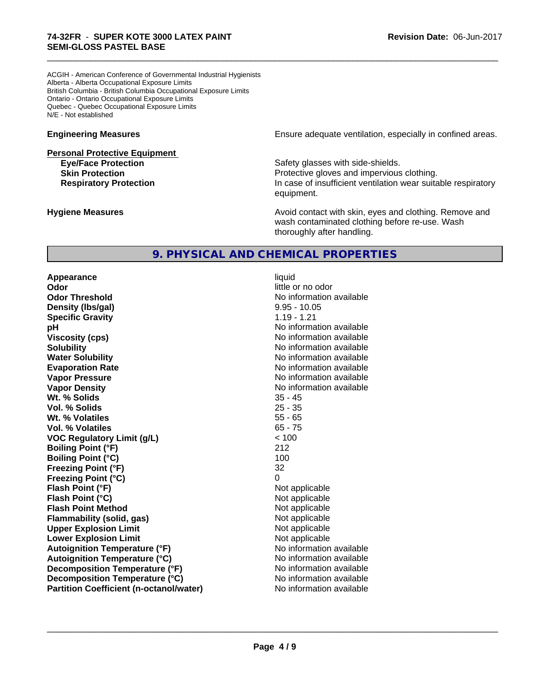ACGIH - American Conference of Governmental Industrial Hygienists Alberta - Alberta Occupational Exposure Limits British Columbia - British Columbia Occupational Exposure Limits Ontario - Ontario Occupational Exposure Limits Quebec - Quebec Occupational Exposure Limits N/E - Not established

**Personal Protective Equipment**

**Engineering Measures Engineering Measures Engineering Measures Ensure adequate ventilation, especially in confined areas.** 

**Eye/Face Protection Safety glasses with side-shields. Skin Protection Protection Protective gloves and impervious clothing. Respiratory Protection In case of insufficient ventilation wear suitable respiratory** equipment.

**Hygiene Measures Avoid contact with skin, eyes and clothing. Remove and Avoid contact with skin, eyes and clothing. Remove and Avoid contact with skin, eyes and clothing. Remove and** wash contaminated clothing before re-use. Wash thoroughly after handling.

# **9. PHYSICAL AND CHEMICAL PROPERTIES**

**Appearance** liquid **Odor** little or no odor **Odor Threshold** No information available **Density (Ibs/gal)** 8.95 - 10.05<br> **Specific Gravity** 1.19 - 1.21 **Specific Gravity pH pH**  $\blacksquare$ **Viscosity (cps)** No information available **Solubility No information available No information available Water Solubility No information available No information available Evaporation Rate No information available No information available Vapor Pressure** No information available No information available **Vapor Density No information available** No information available **Wt. % Solids** 35 - 45 **Vol. % Solids** 25 - 35 **Wt. % Volatiles** 55 - 65 **Vol. % Volatiles** 65 - 75 **VOC Regulatory Limit (g/L)** < 100 **Boiling Point (°F)** 212 **Boiling Point (°C)** 100 **Freezing Point (°F)** 32 **Freezing Point (°C)** 0 **Flash Point (°F)** Not applicable **Flash Point (°C)** Not applicable **Flash Point Method** Not applicable **Flammability (solid, gas)** Not applicable **Upper Explosion Limit**<br> **Lower Explosion Limit**<br> **Lower Explosion Limit Lower Explosion Limit Autoignition Temperature (°F)** No information available **Autoignition Temperature (°C)** No information available **Decomposition Temperature (°F)** No information available **Decomposition Temperature (°C)** No information available **Partition Coefficient (n-octanol/water)** No information available

 $\overline{\phantom{a}}$  ,  $\overline{\phantom{a}}$  ,  $\overline{\phantom{a}}$  ,  $\overline{\phantom{a}}$  ,  $\overline{\phantom{a}}$  ,  $\overline{\phantom{a}}$  ,  $\overline{\phantom{a}}$  ,  $\overline{\phantom{a}}$  ,  $\overline{\phantom{a}}$  ,  $\overline{\phantom{a}}$  ,  $\overline{\phantom{a}}$  ,  $\overline{\phantom{a}}$  ,  $\overline{\phantom{a}}$  ,  $\overline{\phantom{a}}$  ,  $\overline{\phantom{a}}$  ,  $\overline{\phantom{a}}$ 

\_\_\_\_\_\_\_\_\_\_\_\_\_\_\_\_\_\_\_\_\_\_\_\_\_\_\_\_\_\_\_\_\_\_\_\_\_\_\_\_\_\_\_\_\_\_\_\_\_\_\_\_\_\_\_\_\_\_\_\_\_\_\_\_\_\_\_\_\_\_\_\_\_\_\_\_\_\_\_\_\_\_\_\_\_\_\_\_\_\_\_\_\_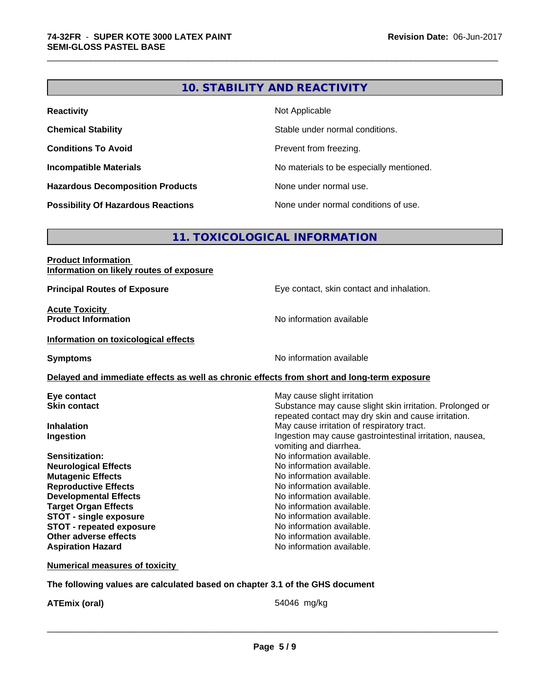# **10. STABILITY AND REACTIVITY**

\_\_\_\_\_\_\_\_\_\_\_\_\_\_\_\_\_\_\_\_\_\_\_\_\_\_\_\_\_\_\_\_\_\_\_\_\_\_\_\_\_\_\_\_\_\_\_\_\_\_\_\_\_\_\_\_\_\_\_\_\_\_\_\_\_\_\_\_\_\_\_\_\_\_\_\_\_\_\_\_\_\_\_\_\_\_\_\_\_\_\_\_\_

| <b>Reactivity</b>                         | Not Applicable                           |
|-------------------------------------------|------------------------------------------|
| <b>Chemical Stability</b>                 | Stable under normal conditions.          |
| <b>Conditions To Avoid</b>                | Prevent from freezing.                   |
| <b>Incompatible Materials</b>             | No materials to be especially mentioned. |
| <b>Hazardous Decomposition Products</b>   | None under normal use.                   |
| <b>Possibility Of Hazardous Reactions</b> | None under normal conditions of use.     |

# **11. TOXICOLOGICAL INFORMATION**

| <b>Product Information</b>               |  |
|------------------------------------------|--|
| Information on likely routes of exposure |  |

**Acute Toxicity<br>Product Information** 

**Principal Routes of Exposure Exposure** Eye contact, skin contact and inhalation.

**No information available** 

#### **Information on toxicological effects**

**Symptoms** No information available

## **Delayed and immediate effects as well as chronic effects from short and long-term exposure**

| Eye contact                     | May cause slight irritation                              |
|---------------------------------|----------------------------------------------------------|
| <b>Skin contact</b>             | Substance may cause slight skin irritation. Prolonged or |
|                                 | repeated contact may dry skin and cause irritation.      |
| <b>Inhalation</b>               | May cause irritation of respiratory tract.               |
| Ingestion                       | Ingestion may cause gastrointestinal irritation, nausea, |
|                                 | vomiting and diarrhea.                                   |
| <b>Sensitization:</b>           | No information available.                                |
| <b>Neurological Effects</b>     | No information available.                                |
| <b>Mutagenic Effects</b>        | No information available.                                |
| <b>Reproductive Effects</b>     | No information available.                                |
| <b>Developmental Effects</b>    | No information available.                                |
| <b>Target Organ Effects</b>     | No information available.                                |
| <b>STOT - single exposure</b>   | No information available.                                |
| <b>STOT - repeated exposure</b> | No information available.                                |
| Other adverse effects           | No information available.                                |
| <b>Aspiration Hazard</b>        | No information available.                                |

#### **Numerical measures of toxicity**

### **The following values are calculated based on chapter 3.1 of the GHS document**

**ATEmix (oral)** 54046 mg/kg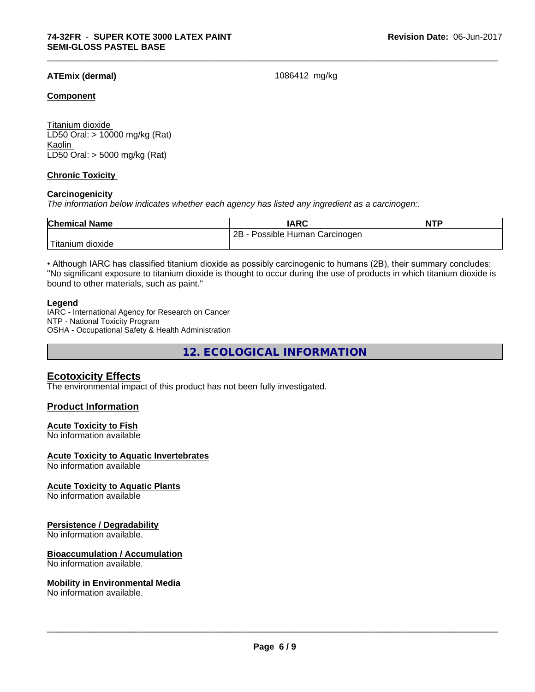## **ATEmix (dermal)** 1086412 mg/kg

\_\_\_\_\_\_\_\_\_\_\_\_\_\_\_\_\_\_\_\_\_\_\_\_\_\_\_\_\_\_\_\_\_\_\_\_\_\_\_\_\_\_\_\_\_\_\_\_\_\_\_\_\_\_\_\_\_\_\_\_\_\_\_\_\_\_\_\_\_\_\_\_\_\_\_\_\_\_\_\_\_\_\_\_\_\_\_\_\_\_\_\_\_

#### **Component**

Titanium dioxide LD50 Oral: > 10000 mg/kg (Rat) Kaolin LD50 Oral: > 5000 mg/kg (Rat)

## **Chronic Toxicity**

#### **Carcinogenicity**

*The information below indicateswhether each agency has listed any ingredient as a carcinogen:.*

| <b>Chemical Name</b> | <b>IARC</b>                           | <b>NTP</b> |
|----------------------|---------------------------------------|------------|
|                      | 2Β<br>Possible<br>Carcinogen<br>Human |            |
| dioxide<br>⊺ıtanıum  |                                       |            |

• Although IARC has classified titanium dioxide as possibly carcinogenic to humans (2B), their summary concludes: "No significant exposure to titanium dioxide is thought to occur during the use of products in which titanium dioxide is bound to other materials, such as paint."

#### **Legend**

IARC - International Agency for Research on Cancer NTP - National Toxicity Program OSHA - Occupational Safety & Health Administration

**12. ECOLOGICAL INFORMATION**

## **Ecotoxicity Effects**

The environmental impact of this product has not been fully investigated.

### **Product Information**

#### **Acute Toxicity to Fish**

No information available

#### **Acute Toxicity to Aquatic Invertebrates**

No information available

#### **Acute Toxicity to Aquatic Plants**

No information available

#### **Persistence / Degradability**

No information available.

#### **Bioaccumulation / Accumulation**

No information available.

#### **Mobility in Environmental Media**

No information available.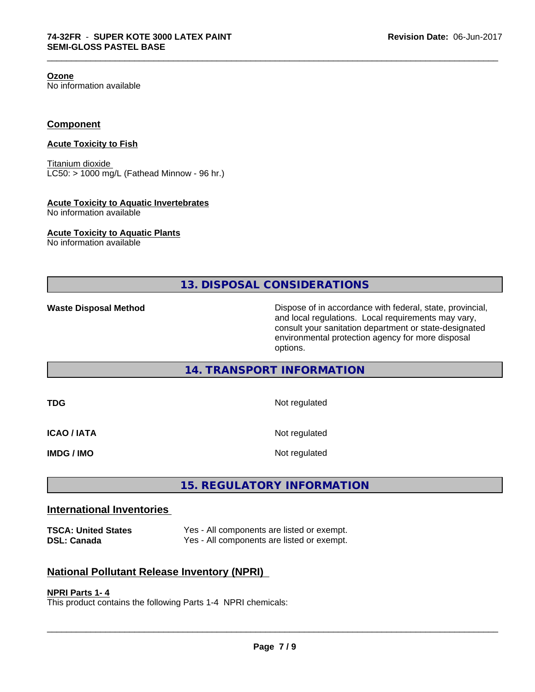**Ozone**

No information available

## **Component**

#### **Acute Toxicity to Fish**

Titanium dioxide  $LC50:$  > 1000 mg/L (Fathead Minnow - 96 hr.)

#### **Acute Toxicity to Aquatic Invertebrates**

No information available

### **Acute Toxicity to Aquatic Plants**

No information available

**13. DISPOSAL CONSIDERATIONS**

\_\_\_\_\_\_\_\_\_\_\_\_\_\_\_\_\_\_\_\_\_\_\_\_\_\_\_\_\_\_\_\_\_\_\_\_\_\_\_\_\_\_\_\_\_\_\_\_\_\_\_\_\_\_\_\_\_\_\_\_\_\_\_\_\_\_\_\_\_\_\_\_\_\_\_\_\_\_\_\_\_\_\_\_\_\_\_\_\_\_\_\_\_

**Waste Disposal Method Dispose of in accordance with federal, state, provincial,** and local regulations. Local requirements may vary, consult your sanitation department or state-designated environmental protection agency for more disposal options.

# **14. TRANSPORT INFORMATION**

| TDG                | Not regulated |
|--------------------|---------------|
| <b>ICAO / IATA</b> | Not regulated |
| <b>IMDG / IMO</b>  | Not regulated |

# **15. REGULATORY INFORMATION**

# **International Inventories**

**TSCA: United States** Yes - All components are listed or exempt. **DSL: Canada** Yes - All components are listed or exempt.

# **National Pollutant Release Inventory (NPRI)**

#### **NPRI Parts 1- 4**

This product contains the following Parts 1-4 NPRI chemicals: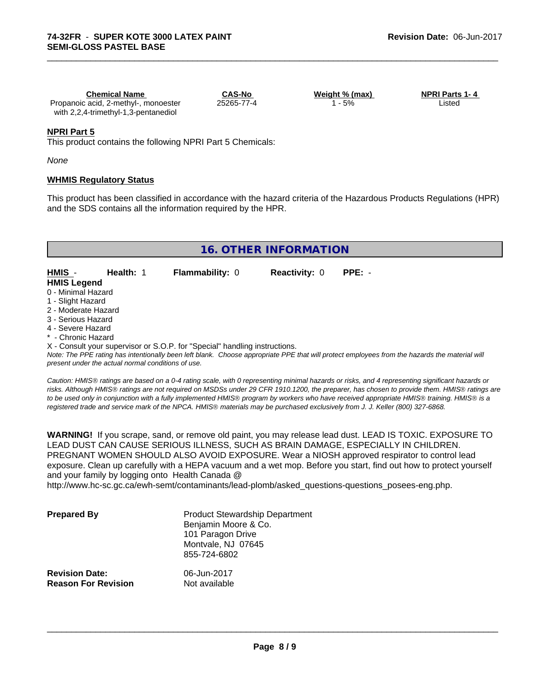| <b>Chemical Name</b>                 | <b>CAS-No</b> | Weight % (max) | <b>NPRI Parts 1-4</b> |  |
|--------------------------------------|---------------|----------------|-----------------------|--|
| Propanoic acid, 2-methyl-, monoester | 25265-77-4    | $-5%$          | ∟isted                |  |
| with 2,2,4-trimethyl-1,3-pentanediol |               |                |                       |  |

#### **NPRI Part 5**

This product contains the following NPRI Part 5 Chemicals:

*None*

#### **WHMIS Regulatory Status**

This product has been classified in accordance with the hazard criteria of the Hazardous Products Regulations (HPR) and the SDS contains all the information required by the HPR.

\_\_\_\_\_\_\_\_\_\_\_\_\_\_\_\_\_\_\_\_\_\_\_\_\_\_\_\_\_\_\_\_\_\_\_\_\_\_\_\_\_\_\_\_\_\_\_\_\_\_\_\_\_\_\_\_\_\_\_\_\_\_\_\_\_\_\_\_\_\_\_\_\_\_\_\_\_\_\_\_\_\_\_\_\_\_\_\_\_\_\_\_\_

# **16. OTHER INFORMATION**

| HMIS -             | Health: 1 | <b>Flammability: 0</b> | <b>Reactivity:</b> 0 | PPE: - |
|--------------------|-----------|------------------------|----------------------|--------|
| <b>HMIS Legend</b> |           |                        |                      |        |
| - - - -            |           |                        |                      |        |

- 0 Minimal Hazard
- 1 Slight Hazard
- 2 Moderate Hazard
- 3 Serious Hazard
- 4 Severe Hazard
- Chronic Hazard

X - Consult your supervisor or S.O.P. for "Special" handling instructions.

*Note: The PPE rating has intentionally been left blank. Choose appropriate PPE that will protect employees from the hazards the material will present under the actual normal conditions of use.*

*Caution: HMISÒ ratings are based on a 0-4 rating scale, with 0 representing minimal hazards or risks, and 4 representing significant hazards or risks. Although HMISÒ ratings are not required on MSDSs under 29 CFR 1910.1200, the preparer, has chosen to provide them. HMISÒ ratings are to be used only in conjunction with a fully implemented HMISÒ program by workers who have received appropriate HMISÒ training. HMISÒ is a registered trade and service mark of the NPCA. HMISÒ materials may be purchased exclusively from J. J. Keller (800) 327-6868.*

**WARNING!** If you scrape, sand, or remove old paint, you may release lead dust. LEAD IS TOXIC. EXPOSURE TO LEAD DUST CAN CAUSE SERIOUS ILLNESS, SUCH AS BRAIN DAMAGE, ESPECIALLY IN CHILDREN. PREGNANT WOMEN SHOULD ALSO AVOID EXPOSURE.Wear a NIOSH approved respirator to control lead exposure. Clean up carefully with a HEPA vacuum and a wet mop. Before you start, find out how to protect yourself and your family by logging onto Health Canada @

http://www.hc-sc.gc.ca/ewh-semt/contaminants/lead-plomb/asked\_questions-questions\_posees-eng.php.

| <b>Prepared By</b>                                  | <b>Product Stewardship Department</b><br>Benjamin Moore & Co.<br>101 Paragon Drive<br>Montvale, NJ 07645<br>855-724-6802 |  |
|-----------------------------------------------------|--------------------------------------------------------------------------------------------------------------------------|--|
| <b>Revision Date:</b><br><b>Reason For Revision</b> | 06-Jun-2017<br>Not available                                                                                             |  |